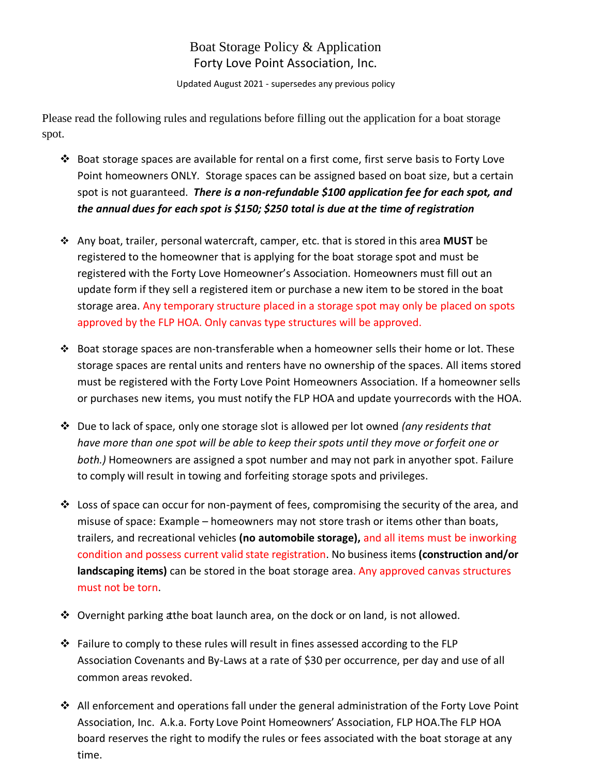## Boat Storage Policy & Application Forty Love Point Association, Inc.

Updated August 2021 - supersedes any previous policy

Please read the following rules and regulations before filling out the application for a boat storage spot.

- ❖ Boat storage spaces are available for rental on a first come, first serve basis to Forty Love Point homeowners ONLY. Storage spaces can be assigned based on boat size, but a certain spot is not guaranteed. *There is a non-refundable \$100 application fee for each spot, and the annual dues for each spot is \$150; \$250 total is due at the time of registration*
- ❖ Any boat, trailer, personal watercraft, camper, etc. that is stored in this area **MUST** be registered to the homeowner that is applying for the boat storage spot and must be registered with the Forty Love Homeowner's Association. Homeowners must fill out an update form if they sell a registered item or purchase a new item to be stored in the boat storage area. Any temporary structure placed in a storage spot may only be placed on spots approved by the FLP HOA. Only canvas type structures will be approved.
- ❖ Boat storage spaces are non-transferable when a homeowner sells their home or lot. These storage spaces are rental units and renters have no ownership of the spaces. All items stored must be registered with the Forty Love Point Homeowners Association. If a homeowner sells or purchases new items, you must notify the FLP HOA and update yourrecords with the HOA.
- ❖ Due to lack of space, only one storage slot is allowed per lot owned *(any residents that have more than one spot will be able to keep their spots until they move or forfeit one or both.)* Homeowners are assigned a spot number and may not park in anyother spot. Failure to comply will result in towing and forfeiting storage spots and privileges.
- $\dots$  Loss of space can occur for non-payment of fees, compromising the security of the area, and misuse of space: Example – homeowners may not store trash or items other than boats, trailers, and recreational vehicles **(no automobile storage),** and all items must be inworking condition and possess current valid state registration. No business items **(construction and/or landscaping items)** can be stored in the boat storage area. Any approved canvas structures must not be torn.
- ❖ Overnight parking atthe boat launch area, on the dock or on land, is not allowed.
- ❖ Failure to comply to these rules will result in fines assessed according to the FLP Association Covenants and By-Laws at a rate of \$30 per occurrence, per day and use of all common areas revoked.
- ◆ All enforcement and operations fall under the general administration of the Forty Love Point Association, Inc. A.k.a. Forty Love Point Homeowners' Association, FLP HOA.The FLP HOA board reserves the right to modify the rules or fees associated with the boat storage at any time.